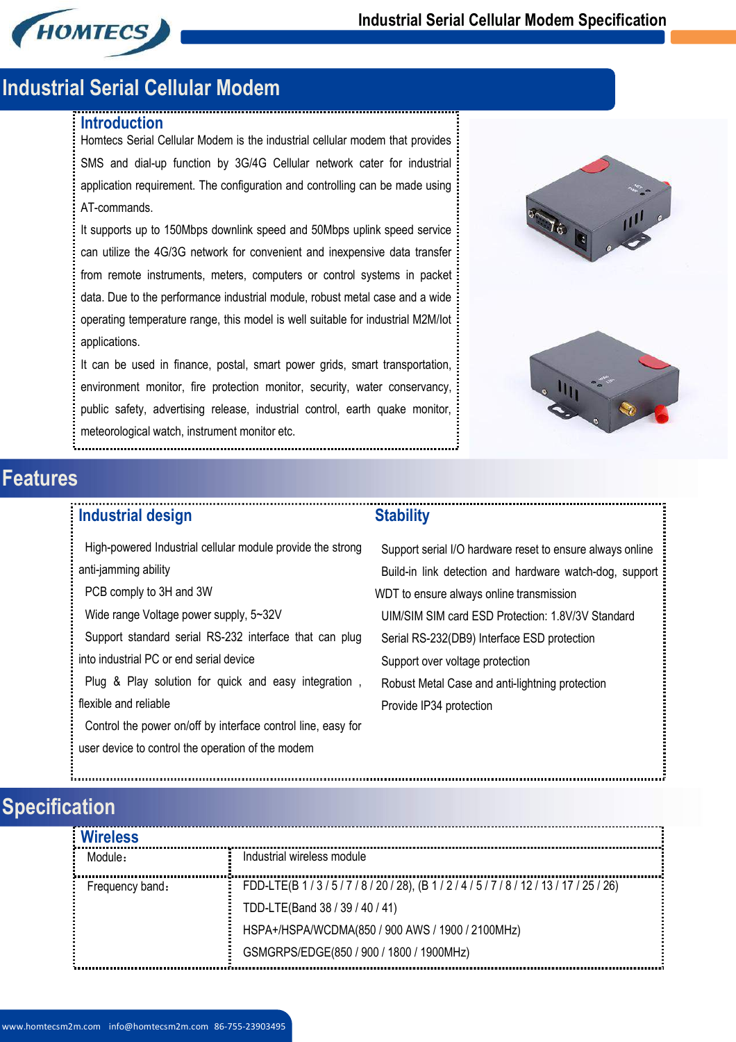

### **Industrial Serial Cellular Modem**

#### **Introduction**

Homtecs Serial Cellular Modem is the industrial cellular modem that provides SMS and dial-up function by 3G/4G Cellular network cater for industrial application requirement. The configuration and controlling can be made using AT-commands.

It supports up to 150Mbps downlink speed and 50Mbps uplink speed service can utilize the 4G/3G network for convenient and inexpensive data transfer from remote instruments, meters, computers or control systems in packet data. Due to the performance industrial module, robust metal case and a wide operating temperature range, this model is well suitable for industrial M2M/Iot applications.

It can be used in finance, postal, smart power grids, smart transportation, environment monitor, fire protection monitor, security, water conservancy, public safety, advertising release, industrial control, earth quake monitor, meteorological watch, instrument monitor etc.





# **Features**

#### **Industrial design**

### **Stability**

High-powered Industrial cellular module provide the strong anti-jamming ability PCB comply to 3H and 3W Wide range Voltage power supply, 5~32V

Support standard serial RS-232 interface that can plug into industrial PC or end serial device

Plug & Play solution for quick and easy integration , flexible and reliable

Control the power on/off by interface control line, easy for user device to control the operation of the modem

Support serial I/O hardware reset to ensure always online Build-in link detection and hardware watch-dog, support WDT to ensure always online transmission UIM/SIM SIM card ESD Protection: 1.8V/3V Standard Serial RS-232(DB9) Interface ESD protection Support over voltage protection Robust Metal Case and anti-lightning protection Provide IP34 protection

# **Specification**

| <b>Wireless</b> |                                                            |
|-----------------|------------------------------------------------------------|
| Module -        | Industrial wireless module                                 |
| Frequency band: | FDD-LTE(B 1/3/5/7/8/20/28), (B 1/2/4/5/7/8/12/13/17/25/26) |
|                 | TDD-LTE(Band 38 / 39 / 40 / 41)                            |
|                 | HSPA+/HSPA/WCDMA(850 / 900 AWS / 1900 / 2100MHz)           |
|                 | GSMGRPS/EDGE(850 / 900 / 1800 / 1900MHz)                   |